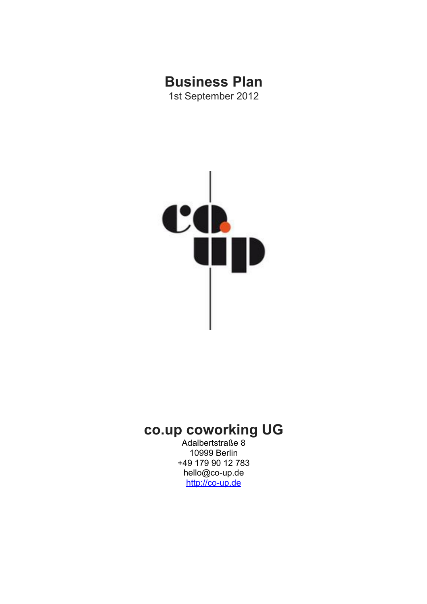# **Business Plan**

1st September 2012



## **co.up coworking UG**

Adalbertstraße 8 10999 Berlin +49 179 90 12 783 hello@co-up.de [http://co-up.de](http://co-up.de/)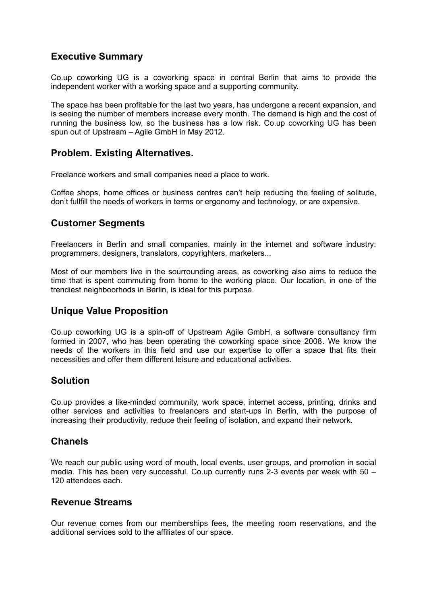## **Executive Summary**

Co.up coworking UG is a coworking space in central Berlin that aims to provide the independent worker with a working space and a supporting community.

The space has been profitable for the last two years, has undergone a recent expansion, and is seeing the number of members increase every month. The demand is high and the cost of running the business low, so the business has a low risk. Co.up coworking UG has been spun out of Upstream – Agile GmbH in May 2012.

#### **Problem. Existing Alternatives.**

Freelance workers and small companies need a place to work.

Coffee shops, home offices or business centres can't help reducing the feeling of solitude, don't fullfill the needs of workers in terms or ergonomy and technology, or are expensive.

## **Customer Segments**

Freelancers in Berlin and small companies, mainly in the internet and software industry: programmers, designers, translators, copyrighters, marketers...

Most of our members live in the sourrounding areas, as coworking also aims to reduce the time that is spent commuting from home to the working place. Our location, in one of the trendiest neighboorhods in Berlin, is ideal for this purpose.

## **Unique Value Proposition**

Co.up coworking UG is a spin-off of Upstream Agile GmbH, a software consultancy firm formed in 2007, who has been operating the coworking space since 2008. We know the needs of the workers in this field and use our expertise to offer a space that fits their necessities and offer them different leisure and educational activities.

## **Solution**

Co.up provides a like-minded community, work space, internet access, printing, drinks and other services and activities to freelancers and start-ups in Berlin, with the purpose of increasing their productivity, reduce their feeling of isolation, and expand their network.

#### **Chanels**

We reach our public using word of mouth, local events, user groups, and promotion in social media. This has been very successful. Co.up currently runs 2-3 events per week with  $50 -$ 120 attendees each.

#### **Revenue Streams**

Our revenue comes from our memberships fees, the meeting room reservations, and the additional services sold to the affiliates of our space.